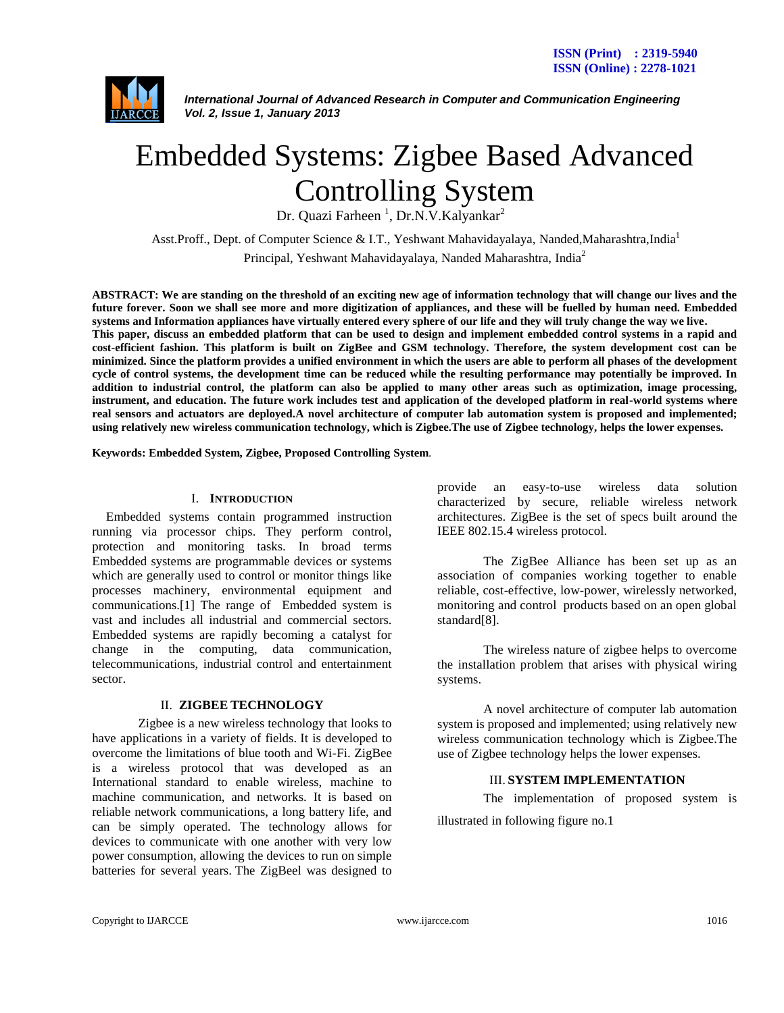

*International Journal of Advanced Research in Computer and Communication Engineering Vol. 2, Issue 1, January 2013*

# Embedded Systems: Zigbee Based Advanced Controlling System

Dr. Quazi Farheen<sup>1</sup>, Dr.N.V.Kalyankar<sup>2</sup>

Asst.Proff., Dept. of Computer Science & I.T., Yeshwant Mahavidayalaya, Nanded,Maharashtra,India<sup>1</sup> Principal, Yeshwant Mahavidayalaya, Nanded Maharashtra, India<sup>2</sup>

**ABSTRACT: We are standing on the threshold of an exciting new age of information technology that will change our lives and the future forever. Soon we shall see more and more digitization of appliances, and these will be fuelled by human need. Embedded systems and Information appliances have virtually entered every sphere of our life and they will truly change the way we live. This paper, discuss an embedded platform that can be used to design and implement embedded control systems in a rapid and cost-efficient fashion. This platform is built on ZigBee and GSM technology. Therefore, the system development cost can be minimized. Since the platform provides a unified environment in which the users are able to perform all phases of the development cycle of control systems, the development time can be reduced while the resulting performance may potentially be improved. In addition to industrial control, the platform can also be applied to many other areas such as optimization, image processing, instrument, and education. The future work includes test and application of the developed platform in real-world systems where real sensors and actuators are deployed.A novel architecture of computer lab automation system is proposed and implemented; using relatively new wireless communication technology, which is Zigbee.The use of Zigbee technology, helps the lower expenses.**

**Keywords: Embedded System, Zigbee, Proposed Controlling System**.

#### I. **INTRODUCTION**

Embedded systems contain programmed instruction running via processor chips. They perform control, protection and monitoring tasks. In broad terms Embedded systems are programmable devices or systems which are generally used to control or monitor things like processes machinery, environmental equipment and communications.[1] The range of Embedded system is vast and includes all industrial and commercial sectors. Embedded systems are rapidly becoming a catalyst for change in the computing, data communication, telecommunications, industrial control and entertainment sector.

#### II. **ZIGBEE TECHNOLOGY**

Zigbee is a new wireless technology that looks to have applications in a variety of fields. It is developed to overcome the limitations of blue tooth and Wi-Fi. ZigBee is a wireless protocol that was developed as an International standard to enable wireless, machine to machine communication, and networks. It is based on reliable network communications, a long battery life, and can be simply operated. The technology allows for devices to communicate with one another with very low power consumption, allowing the devices to run on simple batteries for several years. The ZigBeel was designed to

provide an easy-to-use wireless data solution characterized by secure, reliable wireless network architectures. ZigBee is the set of specs built around the IEEE 802.15.4 wireless protocol.

The ZigBee Alliance has been set up as an association of companies working together to enable reliable, cost-effective, low-power, wirelessly networked, monitoring and control products based on an open global standard[8].

The wireless nature of zigbee helps to overcome the installation problem that arises with physical wiring systems.

A novel architecture of computer lab automation system is proposed and implemented; using relatively new wireless communication technology which is Zigbee.The use of Zigbee technology helps the lower expenses.

## III. **SYSTEM IMPLEMENTATION**

The implementation of proposed system is illustrated in following figure no.1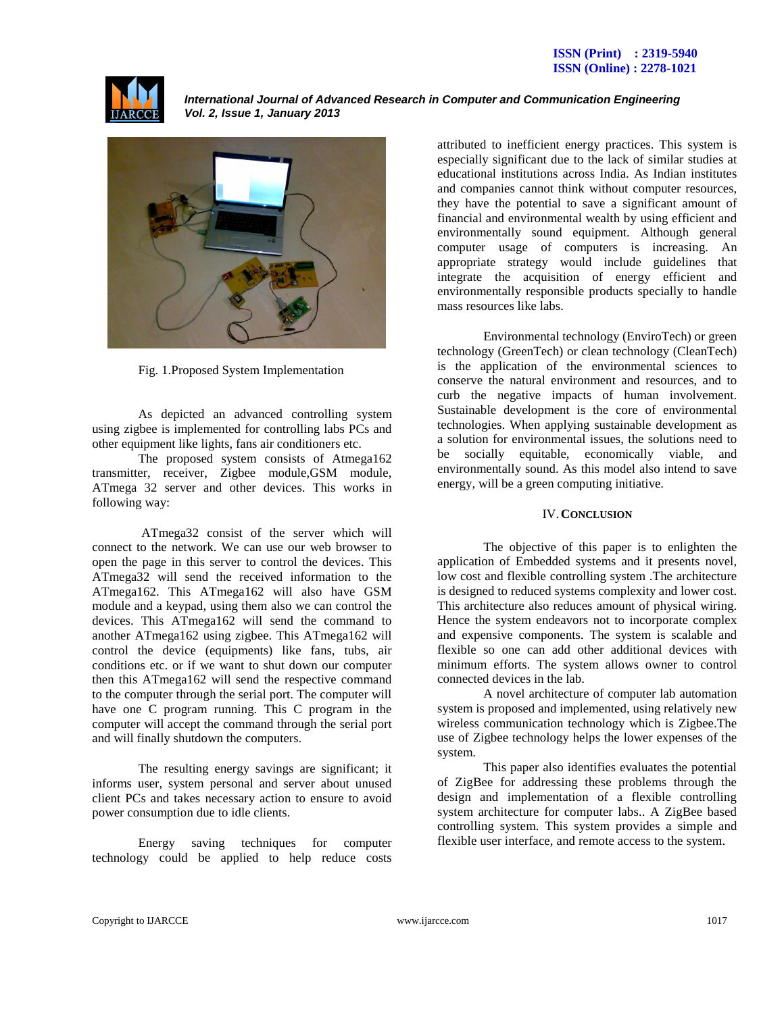

*International Journal of Advanced Research in Computer and Communication Engineering Vol. 2, Issue 1, January 2013*



Fig. 1.Proposed System Implementation

As depicted an advanced controlling system using zigbee is implemented for controlling labs PCs and other equipment like lights, fans air conditioners etc.

The proposed system consists of Atmega162 transmitter, receiver, Zigbee module,GSM module, ATmega 32 server and other devices. This works in following way:

ATmega32 consist of the server which will connect to the network. We can use our web browser to open the page in this server to control the devices. This ATmega32 will send the received information to the ATmega162. This ATmega162 will also have GSM module and a keypad, using them also we can control the devices. This ATmega162 will send the command to another ATmega162 using zigbee. This ATmega162 will control the device (equipments) like fans, tubs, air conditions etc. or if we want to shut down our computer then this ATmega162 will send the respective command to the computer through the serial port. The computer will have one C program running. This C program in the computer will accept the command through the serial port and will finally shutdown the computers.

The resulting energy savings are significant; it informs user, system personal and server about unused client PCs and takes necessary action to ensure to avoid power consumption due to idle clients.

Energy saving techniques for computer technology could be applied to help reduce costs

attributed to inefficient energy practices. This system is especially significant due to the lack of similar studies at educational institutions across India. As Indian institutes and companies cannot think without computer resources, they have the potential to save a significant amount of financial and environmental wealth by using efficient and environmentally sound equipment. Although general computer usage of computers is increasing. An appropriate strategy would include guidelines that integrate the acquisition of energy efficient and environmentally responsible products specially to handle mass resources like labs.

Environmental technology (EnviroTech) or green technology (GreenTech) or clean technology (CleanTech) is the application of the environmental sciences to conserve the natural environment and resources, and to curb the negative impacts of human involvement. Sustainable development is the core of environmental technologies. When applying sustainable development as a solution for environmental issues, the solutions need to be socially equitable, economically viable, and environmentally sound. As this model also intend to save energy, will be a green computing initiative.

## IV.**CONCLUSION**

The objective of this paper is to enlighten the application of Embedded systems and it presents novel, low cost and flexible controlling system .The architecture is designed to reduced systems complexity and lower cost. This architecture also reduces amount of physical wiring. Hence the system endeavors not to incorporate complex and expensive components. The system is scalable and flexible so one can add other additional devices with minimum efforts. The system allows owner to control connected devices in the lab.

A novel architecture of computer lab automation system is proposed and implemented, using relatively new wireless communication technology which is Zigbee.The use of Zigbee technology helps the lower expenses of the system.

This paper also identifies evaluates the potential of ZigBee for addressing these problems through the design and implementation of a flexible controlling system architecture for computer labs.. A ZigBee based controlling system. This system provides a simple and flexible user interface, and remote access to the system.